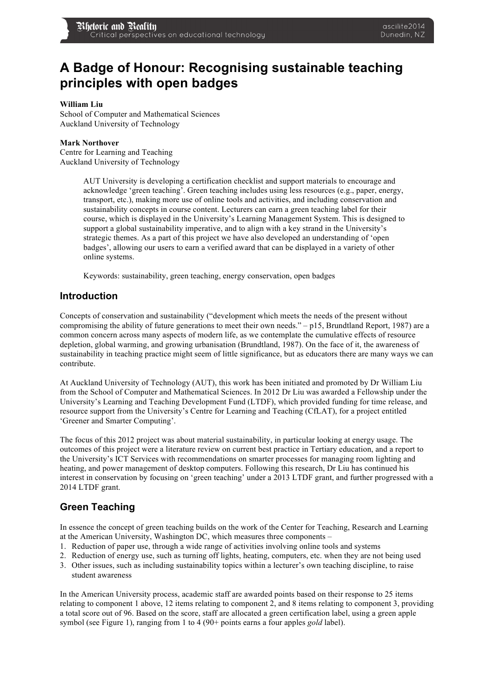# **A Badge of Honour: Recognising sustainable teaching principles with open badges**

#### **William Liu**

School of Computer and Mathematical Sciences Auckland University of Technology

#### **Mark Northover**

Centre for Learning and Teaching Auckland University of Technology

> AUT University is developing a certification checklist and support materials to encourage and acknowledge 'green teaching'. Green teaching includes using less resources (e.g., paper, energy, transport, etc.), making more use of online tools and activities, and including conservation and sustainability concepts in course content. Lecturers can earn a green teaching label for their course, which is displayed in the University's Learning Management System. This is designed to support a global sustainability imperative, and to align with a key strand in the University's strategic themes. As a part of this project we have also developed an understanding of 'open badges', allowing our users to earn a verified award that can be displayed in a variety of other online systems.

Keywords: sustainability, green teaching, energy conservation, open badges

#### **Introduction**

Concepts of conservation and sustainability ("development which meets the needs of the present without compromising the ability of future generations to meet their own needs." – p15, Brundtland Report, 1987) are a common concern across many aspects of modern life, as we contemplate the cumulative effects of resource depletion, global warming, and growing urbanisation (Brundtland, 1987). On the face of it, the awareness of sustainability in teaching practice might seem of little significance, but as educators there are many ways we can contribute.

At Auckland University of Technology (AUT), this work has been initiated and promoted by Dr William Liu from the School of Computer and Mathematical Sciences. In 2012 Dr Liu was awarded a Fellowship under the University's Learning and Teaching Development Fund (LTDF), which provided funding for time release, and resource support from the University's Centre for Learning and Teaching (CfLAT), for a project entitled 'Greener and Smarter Computing'.

The focus of this 2012 project was about material sustainability, in particular looking at energy usage. The outcomes of this project were a literature review on current best practice in Tertiary education, and a report to the University's ICT Services with recommendations on smarter processes for managing room lighting and heating, and power management of desktop computers. Following this research, Dr Liu has continued his interest in conservation by focusing on 'green teaching' under a 2013 LTDF grant, and further progressed with a 2014 LTDF grant.

## **Green Teaching**

In essence the concept of green teaching builds on the work of the Center for Teaching, Research and Learning at the American University, Washington DC, which measures three components –

- 1. Reduction of paper use, through a wide range of activities involving online tools and systems
- 2. Reduction of energy use, such as turning off lights, heating, computers, etc. when they are not being used
- 3. Other issues, such as including sustainability topics within a lecturer's own teaching discipline, to raise student awareness

In the American University process, academic staff are awarded points based on their response to 25 items relating to component 1 above, 12 items relating to component 2, and 8 items relating to component 3, providing a total score out of 96. Based on the score, staff are allocated a green certification label, using a green apple symbol (see Figure 1), ranging from 1 to 4 (90+ points earns a four apples *gold* label).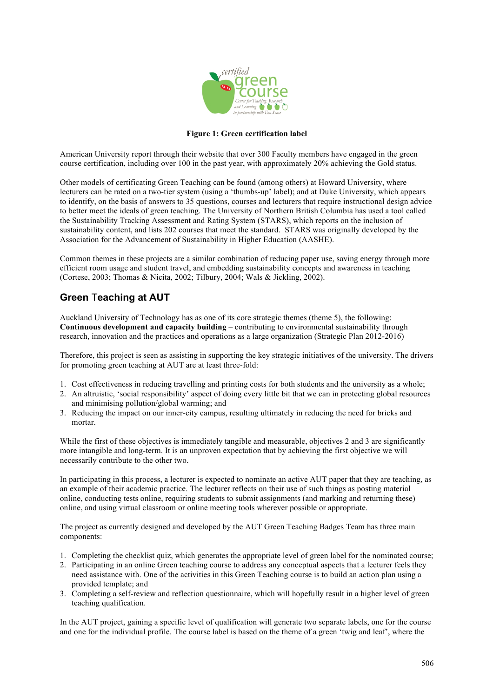

#### **Figure 1: Green certification label**

American University report through their website that over 300 Faculty members have engaged in the green course certification, including over 100 in the past year, with approximately 20% achieving the Gold status.

Other models of certificating Green Teaching can be found (among others) at Howard University, where lecturers can be rated on a two-tier system (using a 'thumbs-up' label); and at Duke University, which appears to identify, on the basis of answers to 35 questions, courses and lecturers that require instructional design advice to better meet the ideals of green teaching. The University of Northern British Columbia has used a tool called the Sustainability Tracking Assessment and Rating System (STARS), which reports on the inclusion of sustainability content, and lists 202 courses that meet the standard. STARS was originally developed by the Association for the Advancement of Sustainability in Higher Education (AASHE).

Common themes in these projects are a similar combination of reducing paper use, saving energy through more efficient room usage and student travel, and embedding sustainability concepts and awareness in teaching (Cortese, 2003; Thomas & Nicita, 2002; Tilbury, 2004; Wals & Jickling, 2002).

## **Green** T**eaching at AUT**

Auckland University of Technology has as one of its core strategic themes (theme 5), the following: **Continuous development and capacity building** – contributing to environmental sustainability through research, innovation and the practices and operations as a large organization (Strategic Plan 2012-2016)

Therefore, this project is seen as assisting in supporting the key strategic initiatives of the university. The drivers for promoting green teaching at AUT are at least three-fold:

- 1. Cost effectiveness in reducing travelling and printing costs for both students and the university as a whole;
- 2. An altruistic, 'social responsibility' aspect of doing every little bit that we can in protecting global resources and minimising pollution/global warming; and
- 3. Reducing the impact on our inner-city campus, resulting ultimately in reducing the need for bricks and mortar.

While the first of these objectives is immediately tangible and measurable, objectives 2 and 3 are significantly more intangible and long-term. It is an unproven expectation that by achieving the first objective we will necessarily contribute to the other two.

In participating in this process, a lecturer is expected to nominate an active AUT paper that they are teaching, as an example of their academic practice. The lecturer reflects on their use of such things as posting material online, conducting tests online, requiring students to submit assignments (and marking and returning these) online, and using virtual classroom or online meeting tools wherever possible or appropriate.

The project as currently designed and developed by the AUT Green Teaching Badges Team has three main components:

- 1. Completing the checklist quiz, which generates the appropriate level of green label for the nominated course;
- 2. Participating in an online Green teaching course to address any conceptual aspects that a lecturer feels they need assistance with. One of the activities in this Green Teaching course is to build an action plan using a provided template; and
- 3. Completing a self-review and reflection questionnaire, which will hopefully result in a higher level of green teaching qualification.

In the AUT project, gaining a specific level of qualification will generate two separate labels, one for the course and one for the individual profile. The course label is based on the theme of a green 'twig and leaf', where the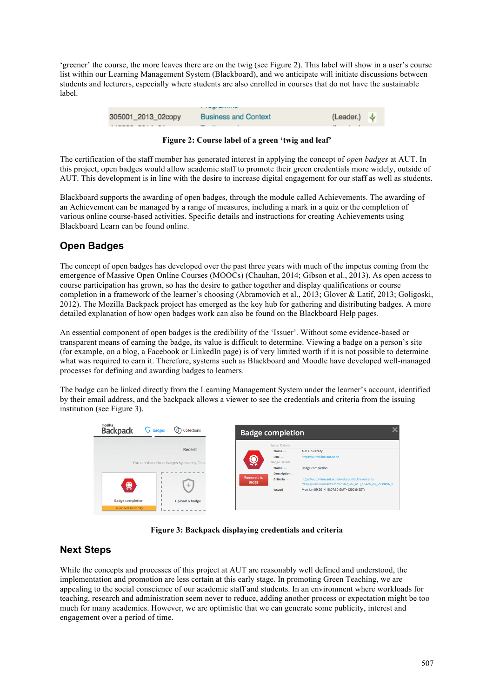'greener' the course, the more leaves there are on the twig (see Figure 2). This label will show in a user's course list within our Learning Management System (Blackboard), and we anticipate will initiate discussions between students and lecturers, especially where students are also enrolled in courses that do not have the sustainable label.

|                    | $\cdots$ . The property contains the set |                                |
|--------------------|------------------------------------------|--------------------------------|
| 305001_2013_02copy | <b>Business and Context</b>              | (Leader.) $\sqrt{\phantom{a}}$ |
|                    |                                          |                                |

**Figure 2: Course label of a green 'twig and leaf'**

The certification of the staff member has generated interest in applying the concept of *open badges* at AUT. In this project, open badges would allow academic staff to promote their green credentials more widely, outside of AUT. This development is in line with the desire to increase digital engagement for our staff as well as students.

Blackboard supports the awarding of open badges, through the module called Achievements. The awarding of an Achievement can be managed by a range of measures, including a mark in a quiz or the completion of various online course-based activities. Specific details and instructions for creating Achievements using Blackboard Learn can be found online.

# **Open Badges**

The concept of open badges has developed over the past three years with much of the impetus coming from the emergence of Massive Open Online Courses (MOOCs) (Chauhan, 2014; Gibson et al., 2013). As open access to course participation has grown, so has the desire to gather together and display qualifications or course completion in a framework of the learner's choosing (Abramovich et al., 2013; Glover & Latif, 2013; Goligoski, 2012). The Mozilla Backpack project has emerged as the key hub for gathering and distributing badges. A more detailed explanation of how open badges work can also be found on the Blackboard Help pages.

An essential component of open badges is the credibility of the 'Issuer'. Without some evidence-based or transparent means of earning the badge, its value is difficult to determine. Viewing a badge on a person's site (for example, on a blog, a Facebook or LinkedIn page) is of very limited worth if it is not possible to determine what was required to earn it. Therefore, systems such as Blackboard and Moodle have developed well-managed processes for defining and awarding badges to learners.

The badge can be linked directly from the Learning Management System under the learner's account, identified by their email address, and the backpack allows a viewer to see the credentials and criteria from the issuing institution (see Figure 3).



**Figure 3: Backpack displaying credentials and criteria**

## **Next Steps**

While the concepts and processes of this project at AUT are reasonably well defined and understood, the implementation and promotion are less certain at this early stage. In promoting Green Teaching, we are appealing to the social conscience of our academic staff and students. In an environment where workloads for teaching, research and administration seem never to reduce, adding another process or expectation might be too much for many academics. However, we are optimistic that we can generate some publicity, interest and engagement over a period of time.